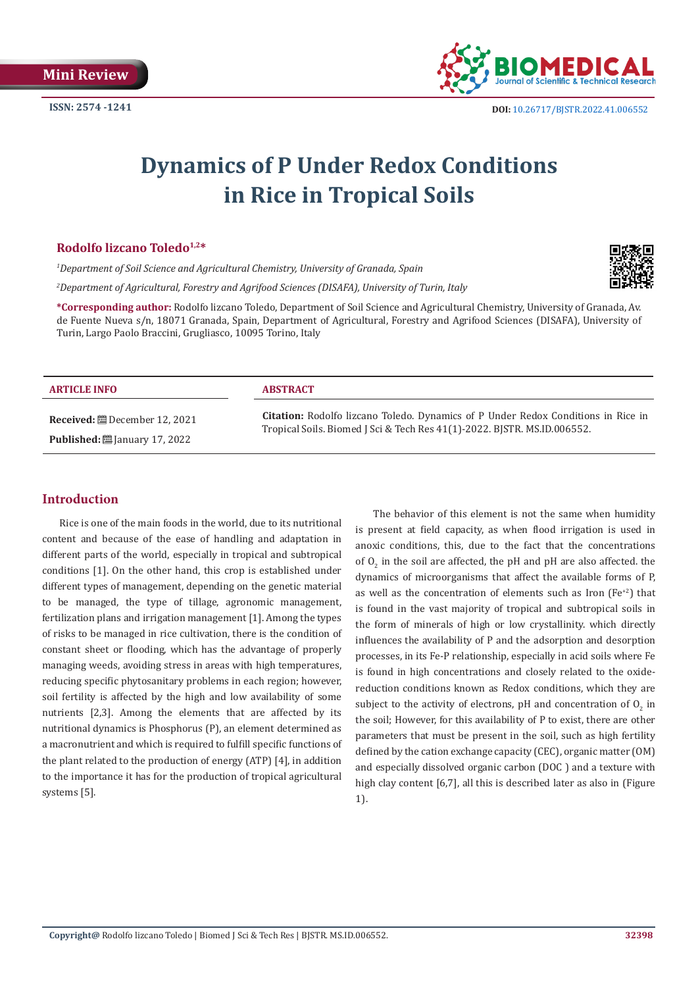

# **Dynamics of P Under Redox Conditions in Rice in Tropical Soils**

#### **Rodolfo lizcano Toledo1,2\***

*1 Department of Soil Science and Agricultural Chemistry, University of Granada, Spain*

*2 Department of Agricultural, Forestry and Agrifood Sciences (DISAFA), University of Turin, Italy*

**\*Corresponding author:** Rodolfo lizcano Toledo, Department of Soil Science and Agricultural Chemistry, University of Granada, Av. de Fuente Nueva s/n, 18071 Granada, Spain, Department of Agricultural, Forestry and Agrifood Sciences (DISAFA), University of Turin, Largo Paolo Braccini, Grugliasco, 10095 Torino, Italy

| <b>ARTICLE INFO</b>                             | <b>ABSTRACT</b>                                                                          |
|-------------------------------------------------|------------------------------------------------------------------------------------------|
| <b>Received:</b> $\mathbf{B}$ December 12, 2021 | <b>Citation:</b> Rodolfo lizcano Toledo. Dynamics of P Under Redox Conditions in Rice in |
| <b>Published:</b> $\ddot{\Xi}$ January 17, 2022 | Tropical Soils. Biomed J Sci & Tech Res 41(1)-2022. BJSTR. MS.ID.006552.                 |

# **Introduction**

Rice is one of the main foods in the world, due to its nutritional content and because of the ease of handling and adaptation in different parts of the world, especially in tropical and subtropical conditions [1]. On the other hand, this crop is established under different types of management, depending on the genetic material to be managed, the type of tillage, agronomic management, fertilization plans and irrigation management [1]. Among the types of risks to be managed in rice cultivation, there is the condition of constant sheet or flooding, which has the advantage of properly managing weeds, avoiding stress in areas with high temperatures, reducing specific phytosanitary problems in each region; however, soil fertility is affected by the high and low availability of some nutrients [2,3]. Among the elements that are affected by its nutritional dynamics is Phosphorus (P), an element determined as a macronutrient and which is required to fulfill specific functions of the plant related to the production of energy (ATP) [4], in addition to the importance it has for the production of tropical agricultural systems [5].

The behavior of this element is not the same when humidity is present at field capacity, as when flood irrigation is used in anoxic conditions, this, due to the fact that the concentrations of  $O<sub>2</sub>$  in the soil are affected, the pH and pH are also affected. the dynamics of microorganisms that affect the available forms of P, as well as the concentration of elements such as Iron ( $Fe<sup>+2</sup>$ ) that is found in the vast majority of tropical and subtropical soils in the form of minerals of high or low crystallinity. which directly influences the availability of P and the adsorption and desorption processes, in its Fe-P relationship, especially in acid soils where Fe is found in high concentrations and closely related to the oxidereduction conditions known as Redox conditions, which they are subject to the activity of electrons, pH and concentration of  $O_2$  in the soil; However, for this availability of P to exist, there are other parameters that must be present in the soil, such as high fertility defined by the cation exchange capacity (CEC), organic matter (OM) and especially dissolved organic carbon (DOC ) and a texture with high clay content [6,7], all this is described later as also in (Figure 1).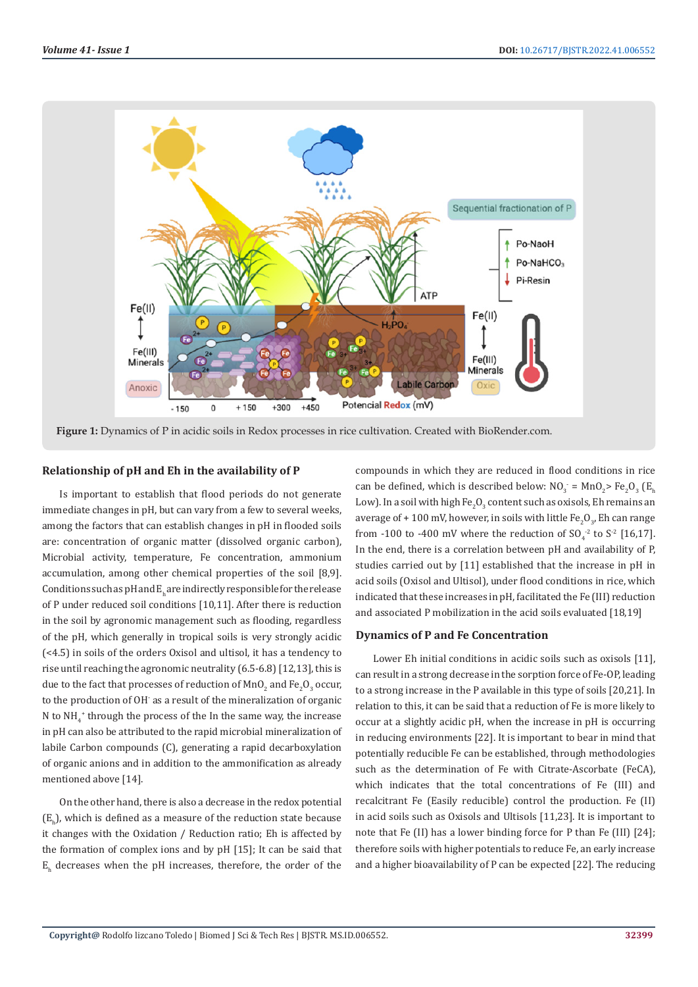

**Figure 1:** Dynamics of P in acidic soils in Redox processes in rice cultivation. Created with BioRender.com.

#### **Relationship of pH and Eh in the availability of P**

Is important to establish that flood periods do not generate immediate changes in pH, but can vary from a few to several weeks, among the factors that can establish changes in pH in flooded soils are: concentration of organic matter (dissolved organic carbon), Microbial activity, temperature, Fe concentration, ammonium accumulation, among other chemical properties of the soil [8,9]. Conditions such as pH and  $\mathrm{E_{h}}$  are indirectly responsible for the release of P under reduced soil conditions [10,11]. After there is reduction in the soil by agronomic management such as flooding, regardless of the pH, which generally in tropical soils is very strongly acidic (<4.5) in soils of the orders Oxisol and ultisol, it has a tendency to rise until reaching the agronomic neutrality (6.5-6.8) [12,13], this is due to the fact that processes of reduction of  $\text{MnO}_2$  and  $\text{Fe}_2\text{O}_3$  occur, to the production of OH- as a result of the mineralization of organic N to  $NH_4^*$  through the process of the In the same way, the increase in pH can also be attributed to the rapid microbial mineralization of labile Carbon compounds (C), generating a rapid decarboxylation of organic anions and in addition to the ammonification as already mentioned above [14].

On the other hand, there is also a decrease in the redox potential  $(E_h)$ , which is defined as a measure of the reduction state because it changes with the Oxidation / Reduction ratio; Eh is affected by the formation of complex ions and by pH [15]; It can be said that  $E_h$  decreases when the pH increases, therefore, the order of the compounds in which they are reduced in flood conditions in rice can be defined, which is described below:  $NO_3 = MnO_2$  Fe<sub>2</sub>O<sub>3</sub> (E<sub>h</sub>) Low). In a soil with high Fe<sub>2</sub>O<sub>3</sub> content such as oxisols, Eh remains an average of + 100 mV, however, in soils with little Fe<sub>2</sub>O<sub>3</sub>, Eh can range from -100 to -400 mV where the reduction of  $SO_4^{-2}$  to  $S^2$  [16,17]. In the end, there is a correlation between pH and availability of P, studies carried out by [11] established that the increase in pH in acid soils (Oxisol and Ultisol), under flood conditions in rice, which indicated that these increases in pH, facilitated the Fe (III) reduction and associated P mobilization in the acid soils evaluated [18,19]

#### **Dynamics of P and Fe Concentration**

Lower Eh initial conditions in acidic soils such as oxisols [11], can result in a strong decrease in the sorption force of Fe-OP, leading to a strong increase in the P available in this type of soils [20,21]. In relation to this, it can be said that a reduction of Fe is more likely to occur at a slightly acidic pH, when the increase in pH is occurring in reducing environments [22]. It is important to bear in mind that potentially reducible Fe can be established, through methodologies such as the determination of Fe with Citrate-Ascorbate (FeCA), which indicates that the total concentrations of Fe (III) and recalcitrant Fe (Easily reducible) control the production. Fe (II) in acid soils such as Oxisols and Ultisols [11,23]. It is important to note that Fe (II) has a lower binding force for P than Fe (III) [24]; therefore soils with higher potentials to reduce Fe, an early increase and a higher bioavailability of P can be expected [22]. The reducing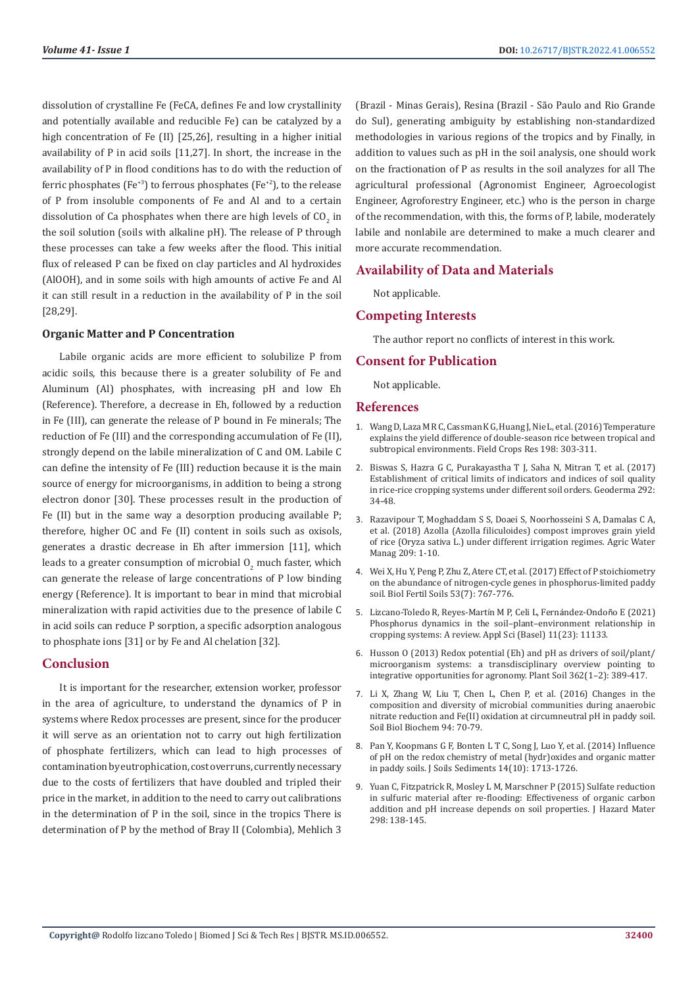dissolution of crystalline Fe (FeCA, defines Fe and low crystallinity and potentially available and reducible Fe) can be catalyzed by a high concentration of Fe (II) [25,26], resulting in a higher initial availability of P in acid soils [11,27]. In short, the increase in the availability of P in flood conditions has to do with the reduction of ferric phosphates (Fe<sup>+3</sup>) to ferrous phosphates (Fe<sup>+2</sup>), to the release of P from insoluble components of Fe and Al and to a certain dissolution of Ca phosphates when there are high levels of  $\mathfrak{CO}_2$  in the soil solution (soils with alkaline pH). The release of P through these processes can take a few weeks after the flood. This initial flux of released P can be fixed on clay particles and Al hydroxides (AlOOH), and in some soils with high amounts of active Fe and Al it can still result in a reduction in the availability of P in the soil [28,29].

## **Organic Matter and P Concentration**

Labile organic acids are more efficient to solubilize P from acidic soils, this because there is a greater solubility of Fe and Aluminum (Al) phosphates, with increasing pH and low Eh (Reference). Therefore, a decrease in Eh, followed by a reduction in Fe (III), can generate the release of P bound in Fe minerals; The reduction of Fe (III) and the corresponding accumulation of Fe (II), strongly depend on the labile mineralization of C and OM. Labile C can define the intensity of Fe (III) reduction because it is the main source of energy for microorganisms, in addition to being a strong electron donor [30]. These processes result in the production of Fe (II) but in the same way a desorption producing available P; therefore, higher OC and Fe (II) content in soils such as oxisols, generates a drastic decrease in Eh after immersion [11], which leads to a greater consumption of microbial  $O_2$  much faster, which can generate the release of large concentrations of P low binding energy (Reference). It is important to bear in mind that microbial mineralization with rapid activities due to the presence of labile C in acid soils can reduce P sorption, a specific adsorption analogous to phosphate ions [31] or by Fe and Al chelation [32].

## **Conclusion**

It is important for the researcher, extension worker, professor in the area of agriculture, to understand the dynamics of P in systems where Redox processes are present, since for the producer it will serve as an orientation not to carry out high fertilization of phosphate fertilizers, which can lead to high processes of contamination by eutrophication, cost overruns, currently necessary due to the costs of fertilizers that have doubled and tripled their price in the market, in addition to the need to carry out calibrations in the determination of P in the soil, since in the tropics There is determination of P by the method of Bray II (Colombia), Mehlich 3

(Brazil - Minas Gerais), Resina (Brazil - São Paulo and Rio Grande do Sul), generating ambiguity by establishing non-standardized methodologies in various regions of the tropics and by Finally, in addition to values such as pH in the soil analysis, one should work on the fractionation of P as results in the soil analyzes for all The agricultural professional (Agronomist Engineer, Agroecologist Engineer, Agroforestry Engineer, etc.) who is the person in charge of the recommendation, with this, the forms of P, labile, moderately labile and nonlabile are determined to make a much clearer and more accurate recommendation.

## **Availability of Data and Materials**

Not applicable.

# **Competing Interests**

The author report no conflicts of interest in this work.

# **Consent for Publication**

Not applicable.

#### **References**

- 1. [Wang D, Laza M R C, Cassman K G, Huang J, Nie L, et al. \(2016\) Temperature](https://www.sciencedirect.com/science/article/abs/pii/S0378429016301538?via%3Dihub) [explains the yield difference of double-season rice between tropical and](https://www.sciencedirect.com/science/article/abs/pii/S0378429016301538?via%3Dihub) [subtropical environments. Field Crops Res 198: 303-311.](https://www.sciencedirect.com/science/article/abs/pii/S0378429016301538?via%3Dihub)
- 2. [Biswas S, Hazra G C, Purakayastha T J, Saha N, Mitran T, et al. \(2017\)](https://www.sciencedirect.com/science/article/abs/pii/S0016706117300101?via%3Dihub) [Establishment of critical limits of indicators and indices of soil quality](https://www.sciencedirect.com/science/article/abs/pii/S0016706117300101?via%3Dihub) [in rice-rice cropping systems under different soil orders. Geoderma 292:](https://www.sciencedirect.com/science/article/abs/pii/S0016706117300101?via%3Dihub) [34-48.](https://www.sciencedirect.com/science/article/abs/pii/S0016706117300101?via%3Dihub)
- 3. [Razavipour T, Moghaddam S S, Doaei S, Noorhosseini S A, Damalas C A,](file:///F:/New%20Journals/BJSTR.MS.ID.006552/BJSTR-CHE-22-MRW-214_W/sciencedirect.com/science/article/abs/pii/S0378377418306607?via%3Dihub) [et al. \(2018\) Azolla \(Azolla filiculoides\) compost improves grain yield](file:///F:/New%20Journals/BJSTR.MS.ID.006552/BJSTR-CHE-22-MRW-214_W/sciencedirect.com/science/article/abs/pii/S0378377418306607?via%3Dihub) [of rice \(Oryza sativa L.\) under different irrigation regimes. Agric Water](file:///F:/New%20Journals/BJSTR.MS.ID.006552/BJSTR-CHE-22-MRW-214_W/sciencedirect.com/science/article/abs/pii/S0378377418306607?via%3Dihub) [Manag 209: 1-10.](file:///F:/New%20Journals/BJSTR.MS.ID.006552/BJSTR-CHE-22-MRW-214_W/sciencedirect.com/science/article/abs/pii/S0378377418306607?via%3Dihub)
- 4. [Wei X, Hu Y, Peng P, Zhu Z, Atere CT, et al. \(2017\) Effect of P stoichiometry](https://link.springer.com/article/10.1007%2Fs00374-017-1221-1) [on the abundance of nitrogen-cycle genes in phosphorus-limited paddy](https://link.springer.com/article/10.1007%2Fs00374-017-1221-1) [soil. Biol Fertil Soils 53\(7\): 767-776.](https://link.springer.com/article/10.1007%2Fs00374-017-1221-1)
- 5. [Lizcano-Toledo R, Reyes-Mart](https://www.researchgate.net/publication/356529515_Phosphorus_Dynamics_in_the_Soil-Plant-Environment_Relationship_in_Cropping_Systems_A_Review)ín M P, Celi L, Fernández-Ondoño E (2021) [Phosphorus dynamics in the soil–plant–environment relationship in](https://www.researchgate.net/publication/356529515_Phosphorus_Dynamics_in_the_Soil-Plant-Environment_Relationship_in_Cropping_Systems_A_Review) [cropping systems: A review. Appl Sci \(Basel\) 11\(23\): 11133.](https://www.researchgate.net/publication/356529515_Phosphorus_Dynamics_in_the_Soil-Plant-Environment_Relationship_in_Cropping_Systems_A_Review)
- 6. [Husson O \(2013\) Redox potential \(Eh\) and pH as drivers of soil/plant/](https://link.springer.com/article/10.1007%2Fs11104-012-1429-7) [microorganism systems: a transdisciplinary overview pointing to](https://link.springer.com/article/10.1007%2Fs11104-012-1429-7) [integrative opportunities for agronomy. Plant Soil 362\(1–2\): 389-417.](https://link.springer.com/article/10.1007%2Fs11104-012-1429-7)
- 7. [Li X, Zhang W, Liu T, Chen L, Chen P, et al. \(2016\) Changes in the](https://www.sciencedirect.com/science/article/abs/pii/S003807171500406X?via%3Dihub) [composition and diversity of microbial communities during anaerobic](https://www.sciencedirect.com/science/article/abs/pii/S003807171500406X?via%3Dihub) [nitrate reduction and Fe\(II\) oxidation at circumneutral pH in paddy soil.](https://www.sciencedirect.com/science/article/abs/pii/S003807171500406X?via%3Dihub) [Soil Biol Biochem 94: 70-79.](https://www.sciencedirect.com/science/article/abs/pii/S003807171500406X?via%3Dihub)
- 8. [Pan Y, Koopmans G F, Bonten L T C, Song J, Luo Y, et al. \(2014\) Influence](https://link.springer.com/article/10.1007%2Fs11368-014-0919-z) [of pH on the redox chemistry of metal \(hydr\)oxides and organic matter](https://link.springer.com/article/10.1007%2Fs11368-014-0919-z) [in paddy soils. J Soils Sediments 14\(10\): 1713-1726.](https://link.springer.com/article/10.1007%2Fs11368-014-0919-z)
- 9. [Yuan C, Fitzpatrick R, Mosley L M, Marschner P \(2015\) Sulfate reduction](https://www.sciencedirect.com/science/article/abs/pii/S0304389415004094?via%3Dihub) [in sulfuric material after re-flooding: Effectiveness of organic carbon](https://www.sciencedirect.com/science/article/abs/pii/S0304389415004094?via%3Dihub) [addition and pH increase depends on soil properties. J Hazard Mater](https://www.sciencedirect.com/science/article/abs/pii/S0304389415004094?via%3Dihub) [298: 138-145.](https://www.sciencedirect.com/science/article/abs/pii/S0304389415004094?via%3Dihub)